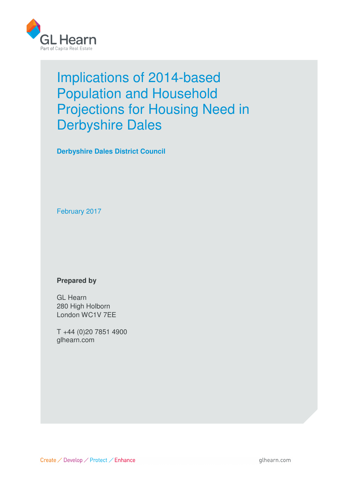

# Implications of 2014-based Population and Household Projections for Housing Need in Derbyshire Dales

**Derbyshire Dales District Council** 

February 2017

# **Prepared by**

GL Hearn 280 High Holborn London WC1V 7EE

T +44 (0)20 7851 4900 glhearn.com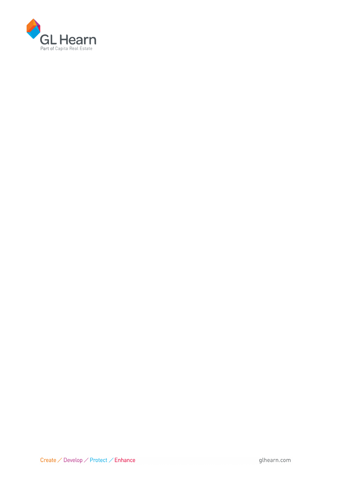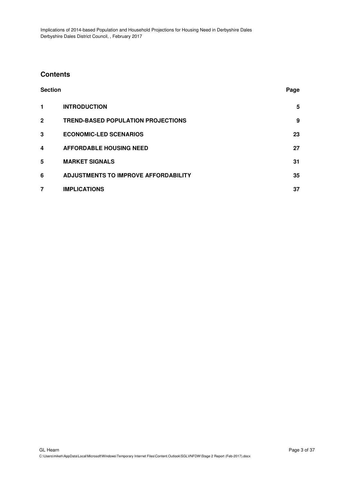# **Contents**

| <b>Section</b> |                                             | Page |
|----------------|---------------------------------------------|------|
| 1              | <b>INTRODUCTION</b>                         | 5    |
| $\mathbf{2}$   | <b>TREND-BASED POPULATION PROJECTIONS</b>   | 9    |
| 3              | <b>ECONOMIC-LED SCENARIOS</b>               | 23   |
| 4              | <b>AFFORDABLE HOUSING NEED</b>              | 27   |
| 5              | <b>MARKET SIGNALS</b>                       | 31   |
| 6              | <b>ADJUSTMENTS TO IMPROVE AFFORDABILITY</b> | 35   |
| 7              | <b>IMPLICATIONS</b>                         | 37   |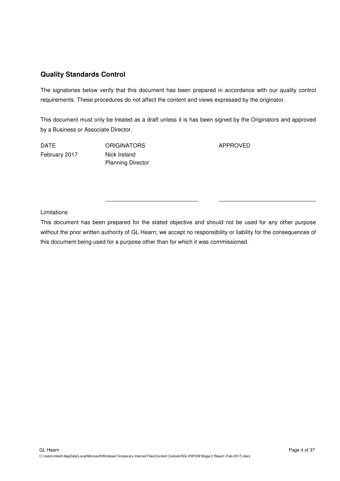# **Quality Standards Control**

The signatories below verify that this document has been prepared in accordance with our quality control requirements. These procedures do not affect the content and views expressed by the originator.

This document must only be treated as a draft unless it is has been signed by the Originators and approved by a Business or Associate Director.

February 2017 Nick Ireland

DATE ORIGINATORS APPROVED Planning Director

Limitations

This document has been prepared for the stated objective and should not be used for any other purpose without the prior written authority of GL Hearn; we accept no responsibility or liability for the consequences of this document being used for a purpose other than for which it was commissioned.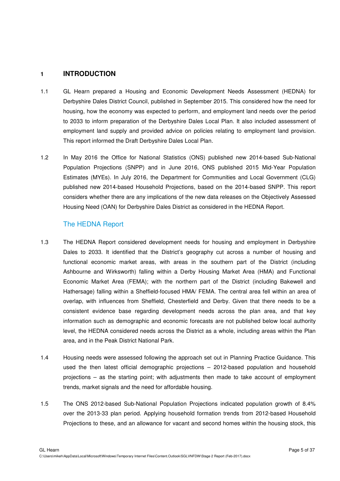## **1 INTRODUCTION**

- 1.1 GL Hearn prepared a Housing and Economic Development Needs Assessment (HEDNA) for Derbyshire Dales District Council, published in September 2015. This considered how the need for housing, how the economy was expected to perform, and employment land needs over the period to 2033 to inform preparation of the Derbyshire Dales Local Plan. It also included assessment of employment land supply and provided advice on policies relating to employment land provision. This report informed the Draft Derbyshire Dales Local Plan.
- 1.2 In May 2016 the Office for National Statistics (ONS) published new 2014-based Sub-National Population Projections (SNPP) and in June 2016, ONS published 2015 Mid-Year Population Estimates (MYEs). In July 2016, the Department for Communities and Local Government (CLG) published new 2014-based Household Projections, based on the 2014-based SNPP. This report considers whether there are any implications of the new data releases on the Objectively Assessed Housing Need (OAN) for Derbyshire Dales District as considered in the HEDNA Report.

# The HEDNA Report

- 1.3 The HEDNA Report considered development needs for housing and employment in Derbyshire Dales to 2033. It identified that the District's geography cut across a number of housing and functional economic market areas, with areas in the southern part of the District (including Ashbourne and Wirksworth) falling within a Derby Housing Market Area (HMA) and Functional Economic Market Area (FEMA); with the northern part of the District (including Bakewell and Hathersage) falling within a Sheffield-focused HMA/ FEMA. The central area fell within an area of overlap, with influences from Sheffield, Chesterfield and Derby. Given that there needs to be a consistent evidence base regarding development needs across the plan area, and that key information such as demographic and economic forecasts are not published below local authority level, the HEDNA considered needs across the District as a whole, including areas within the Plan area, and in the Peak District National Park.
- 1.4 Housing needs were assessed following the approach set out in Planning Practice Guidance. This used the then latest official demographic projections – 2012-based population and household projections – as the starting point; with adjustments then made to take account of employment trends, market signals and the need for affordable housing.
- 1.5 The ONS 2012-based Sub-National Population Projections indicated population growth of 8.4% over the 2013-33 plan period. Applying household formation trends from 2012-based Household Projections to these, and an allowance for vacant and second homes within the housing stock, this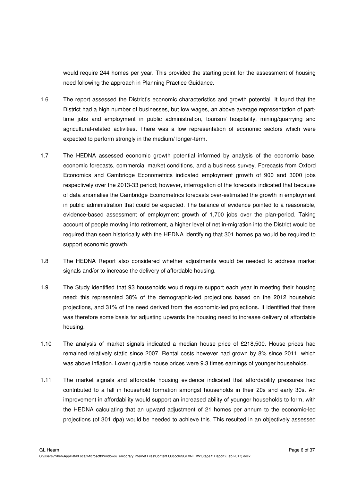would require 244 homes per year. This provided the starting point for the assessment of housing need following the approach in Planning Practice Guidance.

- 1.6 The report assessed the District's economic characteristics and growth potential. It found that the District had a high number of businesses, but low wages, an above average representation of parttime jobs and employment in public administration, tourism/ hospitality, mining/quarrying and agricultural-related activities. There was a low representation of economic sectors which were expected to perform strongly in the medium/ longer-term.
- 1.7 The HEDNA assessed economic growth potential informed by analysis of the economic base, economic forecasts, commercial market conditions, and a business survey. Forecasts from Oxford Economics and Cambridge Econometrics indicated employment growth of 900 and 3000 jobs respectively over the 2013-33 period; however, interrogation of the forecasts indicated that because of data anomalies the Cambridge Econometrics forecasts over-estimated the growth in employment in public administration that could be expected. The balance of evidence pointed to a reasonable, evidence-based assessment of employment growth of 1,700 jobs over the plan-period. Taking account of people moving into retirement, a higher level of net in-migration into the District would be required than seen historically with the HEDNA identifying that 301 homes pa would be required to support economic growth.
- 1.8 The HEDNA Report also considered whether adjustments would be needed to address market signals and/or to increase the delivery of affordable housing.
- 1.9 The Study identified that 93 households would require support each year in meeting their housing need: this represented 38% of the demographic-led projections based on the 2012 household projections, and 31% of the need derived from the economic-led projections. It identified that there was therefore some basis for adjusting upwards the housing need to increase delivery of affordable housing.
- 1.10 The analysis of market signals indicated a median house price of £218,500. House prices had remained relatively static since 2007. Rental costs however had grown by 8% since 2011, which was above inflation. Lower quartile house prices were 9.3 times earnings of younger households.
- 1.11 The market signals and affordable housing evidence indicated that affordability pressures had contributed to a fall in household formation amongst households in their 20s and early 30s. An improvement in affordability would support an increased ability of younger households to form, with the HEDNA calculating that an upward adjustment of 21 homes per annum to the economic-led projections (of 301 dpa) would be needed to achieve this. This resulted in an objectively assessed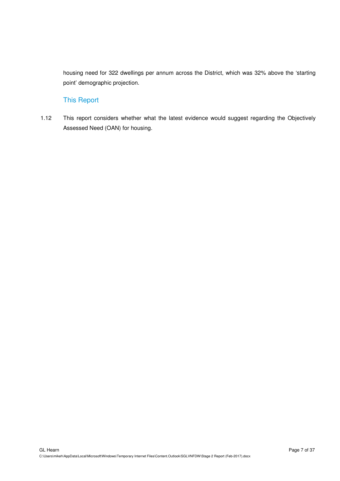housing need for 322 dwellings per annum across the District, which was 32% above the 'starting point' demographic projection.

# This Report

1.12 This report considers whether what the latest evidence would suggest regarding the Objectively Assessed Need (OAN) for housing.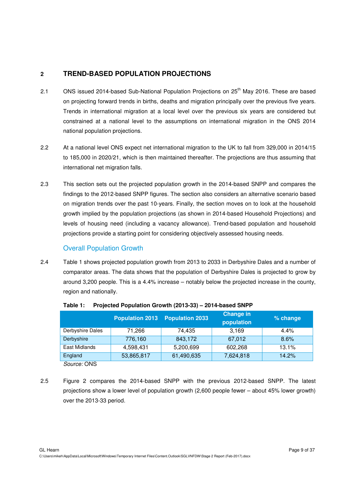# **2 TREND-BASED POPULATION PROJECTIONS**

- 2.1 ONS issued 2014-based Sub-National Population Projections on 25<sup>th</sup> May 2016. These are based on projecting forward trends in births, deaths and migration principally over the previous five years. Trends in international migration at a local level over the previous six years are considered but constrained at a national level to the assumptions on international migration in the ONS 2014 national population projections.
- 2.2 At a national level ONS expect net international migration to the UK to fall from 329,000 in 2014/15 to 185,000 in 2020/21, which is then maintained thereafter. The projections are thus assuming that international net migration falls.
- 2.3 This section sets out the projected population growth in the 2014-based SNPP and compares the findings to the 2012-based SNPP figures. The section also considers an alternative scenario based on migration trends over the past 10-years. Finally, the section moves on to look at the household growth implied by the population projections (as shown in 2014-based Household Projections) and levels of housing need (including a vacancy allowance). Trend-based population and household projections provide a starting point for considering objectively assessed housing needs.

# Overall Population Growth

2.4 Table 1 shows projected population growth from 2013 to 2033 in Derbyshire Dales and a number of comparator areas. The data shows that the population of Derbyshire Dales is projected to grow by around 3,200 people. This is a 4.4% increase – notably below the projected increase in the county, region and nationally.

|                                | <b>Population 2013</b> | <b>Population 2033</b> | <b>Change in</b><br>population | % change |
|--------------------------------|------------------------|------------------------|--------------------------------|----------|
| Derbyshire Dales               | 71,266                 | 74,435                 | 3,169                          | 4.4%     |
| Derbyshire                     | 776,160                | 843,172                | 67,012                         | 8.6%     |
| East Midlands                  | 4,598,431              | 5,200,699              | 602,268                        | 13.1%    |
| England                        | 53,865,817             | 61,490,635             | 7,624,818                      | 14.2%    |
| $C_{OUICO}$ $\cdot$ $\cap$ NIC |                        |                        |                                |          |

## **Table 1: Projected Population Growth (2013-33) – 2014-based SNPP**

Source: ONS

2.5 Figure 2 compares the 2014-based SNPP with the previous 2012-based SNPP. The latest projections show a lower level of population growth (2,600 people fewer – about 45% lower growth) over the 2013-33 period.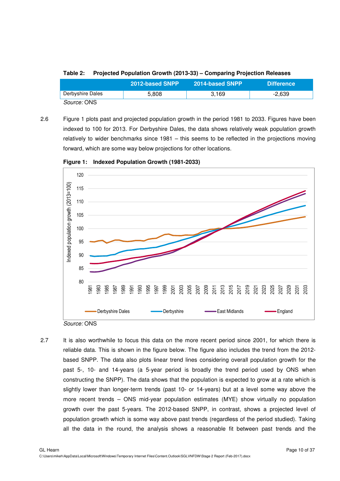|                    | 2012-based SNPP | 2014-based SNPP! | <b>Difference</b> |
|--------------------|-----------------|------------------|-------------------|
| Derbyshire Dales   | 5,808           | 3.169            | $-2,639$          |
| <i>Source:</i> ONS |                 |                  |                   |

#### **Table 2: Projected Population Growth (2013-33) – Comparing Projection Releases**

2.6 Figure 1 plots past and projected population growth in the period 1981 to 2033. Figures have been indexed to 100 for 2013. For Derbyshire Dales, the data shows relatively weak population growth relatively to wider benchmarks since 1981 – this seems to be reflected in the projections moving forward, which are some way below projections for other locations.

120 ndexed population growth (2013=100) Indexed population growth (2013=100) 115 110 105 100 95 90 85 80 1995 1997 1999 2001 2003 2005 2007 2009 2011 2013 2015 2017 2019 2021 2023 2<br>2020<br>2020 2033 1993 2025  $\frac{8}{90}$ 1983 1985 1987 1989  $\overline{9}$ Derbyshire Dales **Communist Control Derbyshire Control Control Control Control Control Control Control Control Control Control Control Control Control Control Control Control Control Control Control Control Control Contr** Source: ONS

**Figure 1: Indexed Population Growth (1981-2033)** 

2.7 It is also worthwhile to focus this data on the more recent period since 2001, for which there is reliable data. This is shown in the figure below. The figure also includes the trend from the 2012 based SNPP. The data also plots linear trend lines considering overall population growth for the past 5-, 10- and 14-years (a 5-year period is broadly the trend period used by ONS when constructing the SNPP). The data shows that the population is expected to grow at a rate which is slightly lower than longer-term trends (past 10- or 14-years) but at a level some way above the more recent trends – ONS mid-year population estimates (MYE) show virtually no population growth over the past 5-years. The 2012-based SNPP, in contrast, shows a projected level of population growth which is some way above past trends (regardless of the period studied). Taking all the data in the round, the analysis shows a reasonable fit between past trends and the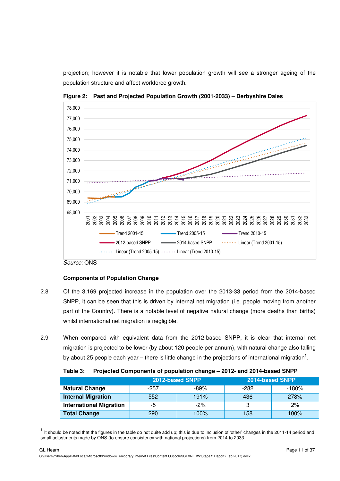projection; however it is notable that lower population growth will see a stronger ageing of the population structure and affect workforce growth.



**Figure 2: Past and Projected Population Growth (2001-2033) – Derbyshire Dales** 

Source: ONS

## **Components of Population Change**

- 2.8 Of the 3,169 projected increase in the population over the 2013-33 period from the 2014-based SNPP, it can be seen that this is driven by internal net migration (i.e. people moving from another part of the Country). There is a notable level of negative natural change (more deaths than births) whilst international net migration is negligible.
- 2.9 When compared with equivalent data from the 2012-based SNPP, it is clear that internal net migration is projected to be lower (by about 120 people per annum), with natural change also falling by about 25 people each year – there is little change in the projections of international migration<sup>1</sup>.

|  | Table 3: Projected Components of population change – 2012- and 2014-based SNPP |
|--|--------------------------------------------------------------------------------|
|--|--------------------------------------------------------------------------------|

|                                | 2012-based SNPP |        | 2014-based SNPP |         |
|--------------------------------|-----------------|--------|-----------------|---------|
| <b>Natural Change</b>          | $-257$          | $-89%$ | $-282$          | $-180%$ |
| <b>Internal Migration</b>      | 552             | 191%   | 436             | 278%    |
| <b>International Migration</b> | -5              | $-2\%$ |                 | 2%      |
| <b>Total Change</b>            | 290             | 100%   | 158             | 100%    |

 1 It should be noted that the figures in the table do not quite add up; this is due to inclusion of 'other' changes in the 2011-14 period and small adjustments made by ONS (to ensure consistency with national projections) from 2014 to 2033.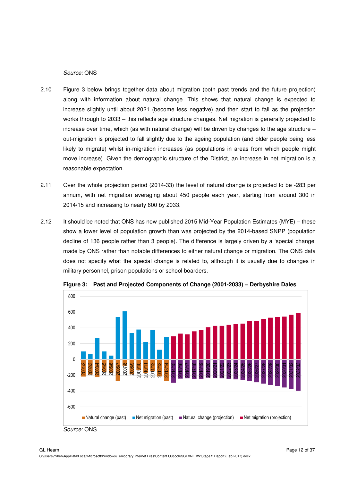#### Source: ONS

- 2.10 Figure 3 below brings together data about migration (both past trends and the future projection) along with information about natural change. This shows that natural change is expected to increase slightly until about 2021 (become less negative) and then start to fall as the projection works through to 2033 – this reflects age structure changes. Net migration is generally projected to increase over time, which (as with natural change) will be driven by changes to the age structure – out-migration is projected to fall slightly due to the ageing population (and older people being less likely to migrate) whilst in-migration increases (as populations in areas from which people might move increase). Given the demographic structure of the District, an increase in net migration is a reasonable expectation.
- 2.11 Over the whole projection period (2014-33) the level of natural change is projected to be -283 per annum, with net migration averaging about 450 people each year, starting from around 300 in 2014/15 and increasing to nearly 600 by 2033.
- 2.12 It should be noted that ONS has now published 2015 Mid-Year Population Estimates (MYE) these show a lower level of population growth than was projected by the 2014-based SNPP (population decline of 136 people rather than 3 people). The difference is largely driven by a 'special change' made by ONS rather than notable differences to either natural change or migration. The ONS data does not specify what the special change is related to, although it is usually due to changes in military personnel, prison populations or school boarders.



**Figure 3: Past and Projected Components of Change (2001-2033) – Derbyshire Dales**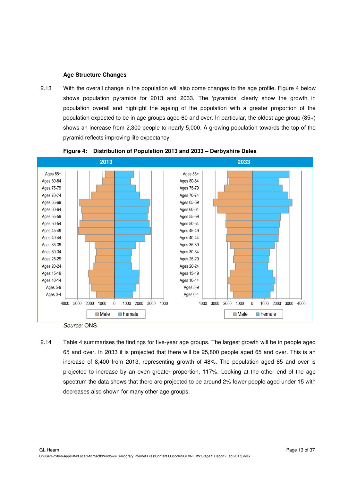#### **Age Structure Changes**

2.13 With the overall change in the population will also come changes to the age profile. Figure 4 below shows population pyramids for 2013 and 2033. The 'pyramids' clearly show the growth in population overall and highlight the ageing of the population with a greater proportion of the population expected to be in age groups aged 60 and over. In particular, the oldest age group (85+) shows an increase from 2,300 people to nearly 5,000. A growing population towards the top of the pyramid reflects improving life expectancy.



**Figure 4: Distribution of Population 2013 and 2033 – Derbyshire Dales** 

Source: ONS

2.14 Table 4 summarises the findings for five-year age groups. The largest growth will be in people aged 65 and over. In 2033 it is projected that there will be 25,800 people aged 65 and over. This is an increase of 8,400 from 2013, representing growth of 48%. The population aged 85 and over is projected to increase by an even greater proportion, 117%. Looking at the other end of the age spectrum the data shows that there are projected to be around 2% fewer people aged under 15 with decreases also shown for many other age groups.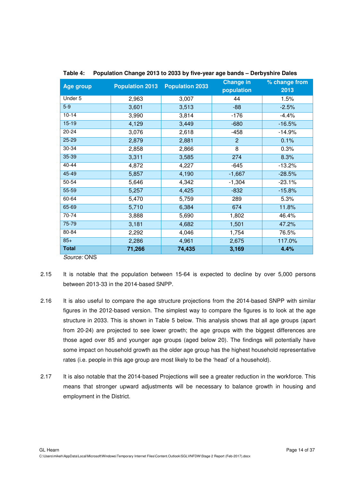| Age group    |        | Population 2013 Population 2033 | <b>Change in</b><br>population | % change from<br>2013 |
|--------------|--------|---------------------------------|--------------------------------|-----------------------|
| Under 5      | 2,963  | 3,007                           | 44                             | 1.5%                  |
| $5-9$        | 3,601  | 3,513                           | $-88$                          | $-2.5%$               |
| $10 - 14$    | 3,990  | 3,814                           | $-176$                         | $-4.4%$               |
| $15-19$      | 4,129  | 3,449                           | $-680$                         | $-16.5%$              |
| 20-24        | 3,076  | 2,618                           | $-458$                         | $-14.9%$              |
| $25 - 29$    | 2,879  | 2,881                           | 2                              | 0.1%                  |
| 30-34        | 2,858  | 2,866                           | 8                              | 0.3%                  |
| 35-39        | 3,311  | 3,585                           | 274                            | 8.3%                  |
| 40-44        | 4,872  | 4,227                           | -645                           | $-13.2%$              |
| 45-49        | 5,857  | 4,190                           | $-1,667$                       | $-28.5%$              |
| 50-54        | 5,646  | 4,342                           | $-1,304$                       | $-23.1%$              |
| 55-59        | 5,257  | 4,425                           | $-832$                         | $-15.8%$              |
| 60-64        | 5,470  | 5,759                           | 289                            | 5.3%                  |
| 65-69        | 5,710  | 6,384                           | 674                            | 11.8%                 |
| 70-74        | 3,888  | 5,690                           | 1,802                          | 46.4%                 |
| 75-79        | 3,181  | 4,682                           | 1,501                          | 47.2%                 |
| 80-84        | 2,292  | 4,046                           | 1,754                          | 76.5%                 |
| $85+$        | 2,286  | 4,961                           | 2,675                          | 117.0%                |
| <b>Total</b> | 71,266 | 74,435                          | 3,169                          | 4.4%                  |
| Source: ONS  |        |                                 |                                |                       |

**Table 4: Population Change 2013 to 2033 by five-year age bands – Derbyshire Dales** 

- 2.15 It is notable that the population between 15-64 is expected to decline by over 5,000 persons between 2013-33 in the 2014-based SNPP.
- 2.16 It is also useful to compare the age structure projections from the 2014-based SNPP with similar figures in the 2012-based version. The simplest way to compare the figures is to look at the age structure in 2033. This is shown in Table 5 below. This analysis shows that all age groups (apart from 20-24) are projected to see lower growth; the age groups with the biggest differences are those aged over 85 and younger age groups (aged below 20). The findings will potentially have some impact on household growth as the older age group has the highest household representative rates (i.e. people in this age group are most likely to be the 'head' of a household).
- 2.17 It is also notable that the 2014-based Projections will see a greater reduction in the workforce. This means that stronger upward adjustments will be necessary to balance growth in housing and employment in the District.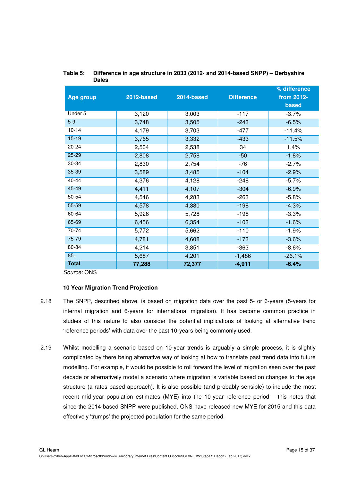| <b>Age group</b> | 2012-based | 2014-based | <b>Difference</b> | % difference<br>from 2012-<br>based |
|------------------|------------|------------|-------------------|-------------------------------------|
| Under 5          | 3,120      | 3,003      | $-117$            | $-3.7%$                             |
| $5-9$            | 3,748      | 3,505      | $-243$            | $-6.5%$                             |
| $10 - 14$        | 4,179      | 3,703      | $-477$            | $-11.4%$                            |
| $15 - 19$        | 3,765      | 3,332      | $-433$            | $-11.5%$                            |
| $20 - 24$        | 2,504      | 2,538      | 34                | 1.4%                                |
| $25 - 29$        | 2,808      | 2,758      | $-50$             | $-1.8%$                             |
| 30-34            | 2,830      | 2,754      | -76               | $-2.7%$                             |
| 35-39            | 3,589      | 3,485      | $-104$            | $-2.9%$                             |
| $40 - 44$        | 4,376      | 4,128      | $-248$            | $-5.7%$                             |
| 45-49            | 4,411      | 4,107      | $-304$            | $-6.9%$                             |
| 50-54            | 4,546      | 4,283      | $-263$            | $-5.8%$                             |
| 55-59            | 4,578      | 4,380      | $-198$            | $-4.3%$                             |
| 60-64            | 5,926      | 5,728      | $-198$            | $-3.3%$                             |
| 65-69            | 6,456      | 6,354      | $-103$            | $-1.6%$                             |
| 70-74            | 5,772      | 5,662      | $-110$            | $-1.9%$                             |
| $75 - 79$        | 4,781      | 4,608      | $-173$            | $-3.6%$                             |
| 80-84            | 4,214      | 3,851      | $-363$            | $-8.6%$                             |
| $85+$            | 5,687      | 4,201      | $-1,486$          | $-26.1%$                            |
| <b>Total</b>     | 77,288     | 72,377     | $-4,911$          | $-6.4%$                             |

#### **Table 5: Difference in age structure in 2033 (2012- and 2014-based SNPP) – Derbyshire Dales**

Source: ONS

## **10 Year Migration Trend Projection**

- 2.18 The SNPP, described above, is based on migration data over the past 5- or 6-years (5-years for internal migration and 6-years for international migration). It has become common practice in studies of this nature to also consider the potential implications of looking at alternative trend 'reference periods' with data over the past 10-years being commonly used.
- 2.19 Whilst modelling a scenario based on 10-year trends is arguably a simple process, it is slightly complicated by there being alternative way of looking at how to translate past trend data into future modelling. For example, it would be possible to roll forward the level of migration seen over the past decade or alternatively model a scenario where migration is variable based on changes to the age structure (a rates based approach). It is also possible (and probably sensible) to include the most recent mid-year population estimates (MYE) into the 10-year reference period – this notes that since the 2014-based SNPP were published, ONS have released new MYE for 2015 and this data effectively 'trumps' the projected population for the same period.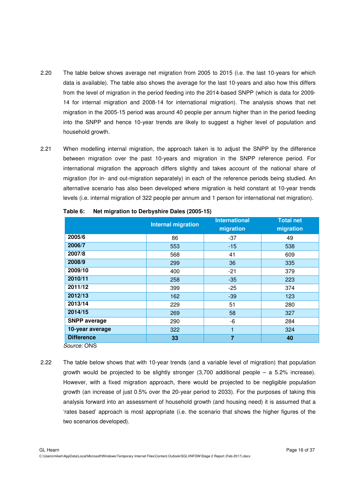- 2.20 The table below shows average net migration from 2005 to 2015 (i.e. the last 10-years for which data is available). The table also shows the average for the last 10-years and also how this differs from the level of migration in the period feeding into the 2014-based SNPP (which is data for 2009- 14 for internal migration and 2008-14 for international migration). The analysis shows that net migration in the 2005-15 period was around 40 people per annum higher than in the period feeding into the SNPP and hence 10-year trends are likely to suggest a higher level of population and household growth.
- 2.21 When modelling internal migration, the approach taken is to adjust the SNPP by the difference between migration over the past 10-years and migration in the SNPP reference period. For international migration the approach differs slightly and takes account of the national share of migration (for in- and out-migration separately) in each of the reference periods being studied. An alternative scenario has also been developed where migration is held constant at 10-year trends levels (i.e. internal migration of 322 people per annum and 1 person for international net migration).

|                     | <b>Internal migration</b> | <b>International</b><br>migration | <b>Total net</b><br>migration |
|---------------------|---------------------------|-----------------------------------|-------------------------------|
| 2005/6              | 86                        | -37                               | 49                            |
| 2006/7              | 553                       | $-15$                             | 538                           |
| 2007/8              | 568                       | 41                                | 609                           |
| 2008/9              | 299                       | 36                                | 335                           |
| 2009/10             | 400                       | $-21$                             | 379                           |
| 2010/11             | 258                       | $-35$                             | 223                           |
| 2011/12             | 399                       | $-25$                             | 374                           |
| 2012/13             | 162                       | $-39$                             | 123                           |
| 2013/14             | 229                       | 51                                | 280                           |
| 2014/15             | 269                       | 58                                | 327                           |
| <b>SNPP</b> average | 290                       | -6                                | 284                           |
| 10-year average     | 322                       | 1                                 | 324                           |
| <b>Difference</b>   | 33                        | 7                                 | 40                            |
| Source: ONS         |                           |                                   |                               |

**Table 6: Net migration to Derbyshire Dales (2005-15)** 

2.22 The table below shows that with 10-year trends (and a variable level of migration) that population growth would be projected to be slightly stronger  $(3,700)$  additional people – a 5.2% increase). However, with a fixed migration approach, there would be projected to be negligible population growth (an increase of just 0.5% over the 20-year period to 2033). For the purposes of taking this analysis forward into an assessment of household growth (and housing need) it is assumed that a 'rates based' approach is most appropriate (i.e. the scenario that shows the higher figures of the two scenarios developed).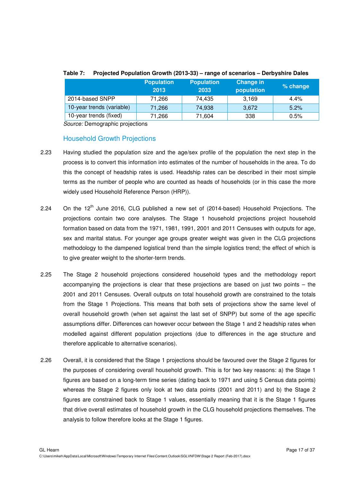|                           | <b>Population</b><br>2013 | <b>Population</b><br>2033 | <b>Change in</b><br>population | % change |
|---------------------------|---------------------------|---------------------------|--------------------------------|----------|
| 2014-based SNPP           | 71.266                    | 74.435                    | 3.169                          | 4.4%     |
| 10-year trends (variable) | 71,266                    | 74,938                    | 3,672                          | 5.2%     |
| 10-year trends (fixed)    | 71,266                    | 71,604                    | 338                            | 0.5%     |

#### **Table 7: Projected Population Growth (2013-33) – range of scenarios – Derbyshire Dales**

Source: Demographic projections

## Household Growth Projections

- 2.23 Having studied the population size and the age/sex profile of the population the next step in the process is to convert this information into estimates of the number of households in the area. To do this the concept of headship rates is used. Headship rates can be described in their most simple terms as the number of people who are counted as heads of households (or in this case the more widely used Household Reference Person (HRP)).
- 2.24 On the  $12<sup>th</sup>$  June 2016, CLG published a new set of (2014-based) Household Projections. The projections contain two core analyses. The Stage 1 household projections project household formation based on data from the 1971, 1981, 1991, 2001 and 2011 Censuses with outputs for age, sex and marital status. For younger age groups greater weight was given in the CLG projections methodology to the dampened logistical trend than the simple logistics trend; the effect of which is to give greater weight to the shorter-term trends.
- 2.25 The Stage 2 household projections considered household types and the methodology report accompanying the projections is clear that these projections are based on just two points – the 2001 and 2011 Censuses. Overall outputs on total household growth are constrained to the totals from the Stage 1 Projections. This means that both sets of projections show the same level of overall household growth (when set against the last set of SNPP) but some of the age specific assumptions differ. Differences can however occur between the Stage 1 and 2 headship rates when modelled against different population projections (due to differences in the age structure and therefore applicable to alternative scenarios).
- 2.26 Overall, it is considered that the Stage 1 projections should be favoured over the Stage 2 figures for the purposes of considering overall household growth. This is for two key reasons: a) the Stage 1 figures are based on a long-term time series (dating back to 1971 and using 5 Census data points) whereas the Stage 2 figures only look at two data points (2001 and 2011) and b) the Stage 2 figures are constrained back to Stage 1 values, essentially meaning that it is the Stage 1 figures that drive overall estimates of household growth in the CLG household projections themselves. The analysis to follow therefore looks at the Stage 1 figures.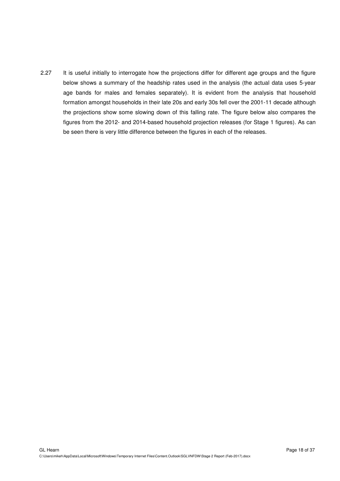2.27 It is useful initially to interrogate how the projections differ for different age groups and the figure below shows a summary of the headship rates used in the analysis (the actual data uses 5-year age bands for males and females separately). It is evident from the analysis that household formation amongst households in their late 20s and early 30s fell over the 2001-11 decade although the projections show some slowing down of this falling rate. The figure below also compares the figures from the 2012- and 2014-based household projection releases (for Stage 1 figures). As can be seen there is very little difference between the figures in each of the releases.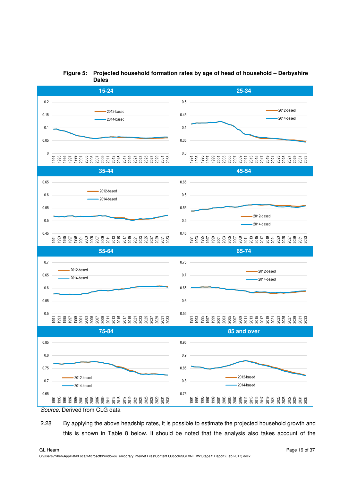

#### **Figure 5: Projected household formation rates by age of head of household – Derbyshire Dales**

Source: Derived from CLG data

2.28 By applying the above headship rates, it is possible to estimate the projected household growth and this is shown in Table 8 below. It should be noted that the analysis also takes account of the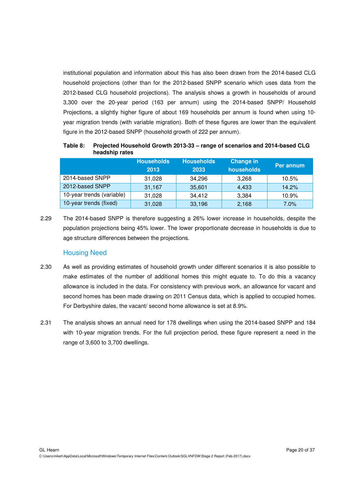institutional population and information about this has also been drawn from the 2014-based CLG household projections (other than for the 2012-based SNPP scenario which uses data from the 2012-based CLG household projections). The analysis shows a growth in households of around 3,300 over the 20-year period (163 per annum) using the 2014-based SNPP/ Household Projections, a slightly higher figure of about 169 households per annum is found when using 10 year migration trends (with variable migration). Both of these figures are lower than the equivalent figure in the 2012-based SNPP (household growth of 222 per annum).

**Table 8: Projected Household Growth 2013-33 – range of scenarios and 2014-based CLG headship rates** 

|                           | <b>Households</b><br>2013 | <b>Households</b><br>2033 | <b>Change in</b><br>households | Per annum |
|---------------------------|---------------------------|---------------------------|--------------------------------|-----------|
| 2014-based SNPP           | 31,028                    | 34.296                    | 3,268                          | 10.5%     |
| 2012-based SNPP           | 31,167                    | 35,601                    | 4.433                          | 14.2%     |
| 10-year trends (variable) | 31,028                    | 34,412                    | 3,384                          | 10.9%     |
| 10-year trends (fixed)    | 31,028                    | 33,196                    | 2,168                          | $7.0\%$   |

<sup>2.29</sup> The 2014-based SNPP is therefore suggesting a 26% lower increase in households, despite the population projections being 45% lower. The lower proportionate decrease in households is due to age structure differences between the projections.

## Housing Need

- 2.30 As well as providing estimates of household growth under different scenarios it is also possible to make estimates of the number of additional homes this might equate to. To do this a vacancy allowance is included in the data. For consistency with previous work, an allowance for vacant and second homes has been made drawing on 2011 Census data, which is applied to occupied homes. For Derbyshire dales, the vacant/ second home allowance is set at 8.9%.
- 2.31 The analysis shows an annual need for 178 dwellings when using the 2014-based SNPP and 184 with 10-year migration trends. For the full projection period, these figure represent a need in the range of 3,600 to 3,700 dwellings.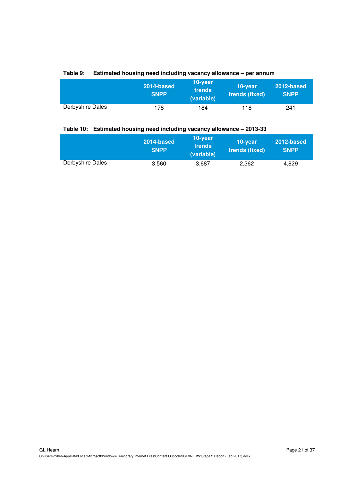|                  | <b>2014-based</b><br><b>SNPP</b> | 10-year<br>trends<br>(variable) | 10-year<br>trends (fixed) | 2012-based<br><b>SNPP</b> |
|------------------|----------------------------------|---------------------------------|---------------------------|---------------------------|
| Derbyshire Dales | 178                              | 184                             | 118                       | 241                       |

## **Table 9: Estimated housing need including vacancy allowance – per annum**

# **Table 10: Estimated housing need including vacancy allowance – 2013-33**

|                  | 2014-based<br><b>SNPP</b> | 10-year<br><b>trends</b><br>(variable) | 10-year<br>trends (fixed) | <b>2012-based</b><br><b>SNPP</b> |
|------------------|---------------------------|----------------------------------------|---------------------------|----------------------------------|
| Derbyshire Dales | 3,560                     | 3,687                                  | 2,362                     | 4.829                            |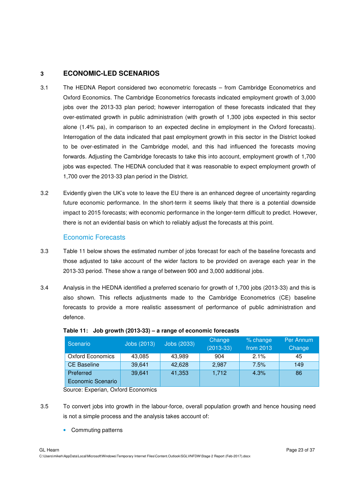# **3 ECONOMIC-LED SCENARIOS**

- 3.1 The HEDNA Report considered two econometric forecasts from Cambridge Econometrics and Oxford Economics. The Cambridge Econometrics forecasts indicated employment growth of 3,000 jobs over the 2013-33 plan period; however interrogation of these forecasts indicated that they over-estimated growth in public administration (with growth of 1,300 jobs expected in this sector alone (1.4% pa), in comparison to an expected decline in employment in the Oxford forecasts). Interrogation of the data indicated that past employment growth in this sector in the District looked to be over-estimated in the Cambridge model, and this had influenced the forecasts moving forwards. Adjusting the Cambridge forecasts to take this into account, employment growth of 1,700 jobs was expected. The HEDNA concluded that it was reasonable to expect employment growth of 1,700 over the 2013-33 plan period in the District.
- 3.2 Evidently given the UK's vote to leave the EU there is an enhanced degree of uncertainty regarding future economic performance. In the short-term it seems likely that there is a potential downside impact to 2015 forecasts; with economic performance in the longer-term difficult to predict. However, there is not an evidential basis on which to reliably adjust the forecasts at this point.

## Economic Forecasts

- 3.3 Table 11 below shows the estimated number of jobs forecast for each of the baseline forecasts and those adjusted to take account of the wider factors to be provided on average each year in the 2013-33 period. These show a range of between 900 and 3,000 additional jobs.
- 3.4 Analysis in the HEDNA identified a preferred scenario for growth of 1,700 jobs (2013-33) and this is also shown. This reflects adjustments made to the Cambridge Econometrics (CE) baseline forecasts to provide a more realistic assessment of performance of public administration and defence.

|                          | <b>Jobs (2013)</b> | <b>Jobs (2033)</b> | Change      | % change  | Per Annum |
|--------------------------|--------------------|--------------------|-------------|-----------|-----------|
| Scenario                 |                    |                    | $(2013-33)$ | from 2013 | Change    |
| <b>Oxford Economics</b>  | 43,085             | 43,989             | 904         | $2.1\%$   | 45        |
| <b>CE Baseline</b>       | 39,641             | 42,628             | 2.987       | $7.5\%$   | 149       |
| Preferred                | 39,641             | 41,353             | 1,712       | 4.3%      | 86        |
| <b>Economic Scenario</b> |                    |                    |             |           |           |

|  | Table 11: Job growth (2013-33) – a range of economic forecasts |
|--|----------------------------------------------------------------|
|  |                                                                |

Source: Experian, Oxford Economics

- 3.5 To convert jobs into growth in the labour-force, overall population growth and hence housing need is not a simple process and the analysis takes account of:
	- Commuting patterns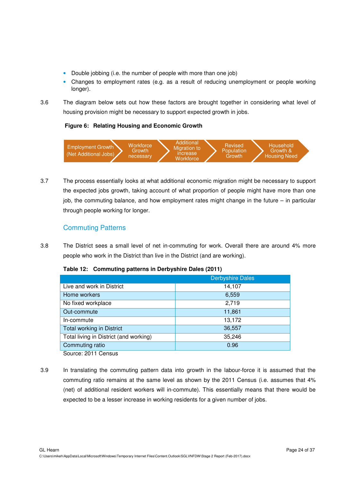- Double jobbing (i.e. the number of people with more than one job)
- Changes to employment rates (e.g. as a result of reducing unemployment or people working longer).
- 

3.6 The diagram below sets out how these factors are brought together in considering what level of housing provision might be necessary to support expected growth in jobs.

## **Figure 6: Relating Housing and Economic Growth**



3.7 The process essentially looks at what additional economic migration might be necessary to support the expected jobs growth, taking account of what proportion of people might have more than one job, the commuting balance, and how employment rates might change in the future – in particular through people working for longer.

# Commuting Patterns

3.8 The District sees a small level of net in-commuting for work. Overall there are around 4% more people who work in the District than live in the District (and are working).

|                                        | <b>Derbyshire Dales</b> |
|----------------------------------------|-------------------------|
| Live and work in District              | 14,107                  |
| Home workers                           | 6,559                   |
| No fixed workplace                     | 2,719                   |
| Out-commute                            | 11,861                  |
| In-commute                             | 13,172                  |
| Total working in District              | 36,557                  |
| Total living in District (and working) | 35,246                  |
| Commuting ratio                        | 0.96                    |
| Source: 2011 Census                    |                         |

**Table 12: Commuting patterns in Derbyshire Dales (2011)** 

3.9 In translating the commuting pattern data into growth in the labour-force it is assumed that the commuting ratio remains at the same level as shown by the 2011 Census (i.e. assumes that 4% (net) of additional resident workers will in-commute). This essentially means that there would be expected to be a lesser increase in working residents for a given number of jobs.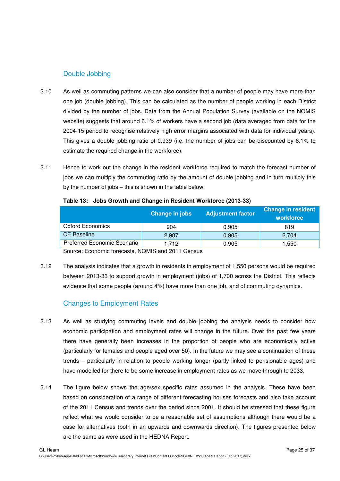## Double Jobbing

- 3.10 As well as commuting patterns we can also consider that a number of people may have more than one job (double jobbing). This can be calculated as the number of people working in each District divided by the number of jobs. Data from the Annual Population Survey (available on the NOMIS website) suggests that around 6.1% of workers have a second job (data averaged from data for the 2004-15 period to recognise relatively high error margins associated with data for individual years). This gives a double jobbing ratio of 0.939 (i.e. the number of jobs can be discounted by 6.1% to estimate the required change in the workforce).
- 3.11 Hence to work out the change in the resident workforce required to match the forecast number of jobs we can multiply the commuting ratio by the amount of double jobbing and in turn multiply this by the number of jobs – this is shown in the table below.

|                             | <b>Change in jobs</b> | <b>Adjustment factor</b> | <b>Change in resident</b><br>workforce |
|-----------------------------|-----------------------|--------------------------|----------------------------------------|
| <b>Oxford Economics</b>     | 904                   | 0.905                    | 819                                    |
| <b>CE Baseline</b>          | 2,987                 | 0.905                    | 2.704                                  |
| Preferred Economic Scenario | 1.712                 | 0.905                    | 1,550                                  |

#### **Table 13: Jobs Growth and Change in Resident Workforce (2013-33)**

Source: Economic forecasts, NOMIS and 2011 Census

3.12 The analysis indicates that a growth in residents in employment of 1,550 persons would be required between 2013-33 to support growth in employment (jobs) of 1,700 across the District. This reflects evidence that some people (around 4%) have more than one job, and of commuting dynamics.

## Changes to Employment Rates

- 3.13 As well as studying commuting levels and double jobbing the analysis needs to consider how economic participation and employment rates will change in the future. Over the past few years there have generally been increases in the proportion of people who are economically active (particularly for females and people aged over 50). In the future we may see a continuation of these trends – particularly in relation to people working longer (partly linked to pensionable ages) and have modelled for there to be some increase in employment rates as we move through to 2033.
- 3.14 The figure below shows the age/sex specific rates assumed in the analysis. These have been based on consideration of a range of different forecasting houses forecasts and also take account of the 2011 Census and trends over the period since 2001. It should be stressed that these figure reflect what we would consider to be a reasonable set of assumptions although there would be a case for alternatives (both in an upwards and downwards direction). The figures presented below are the same as were used in the HEDNA Report.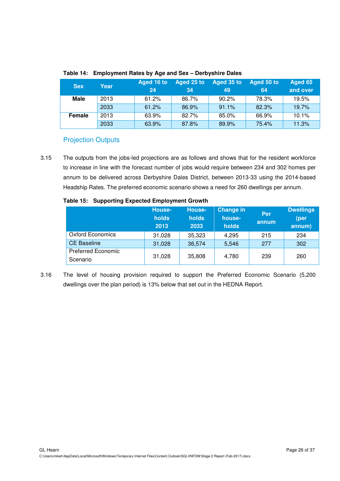| <b>Sex</b> | Year | Aged 16 to<br>24 | Aged 25 to<br>34 | Aged 35 to<br>49 | Aged 50 to<br>64 | Aged 65<br>and over |
|------------|------|------------------|------------------|------------------|------------------|---------------------|
| Male       | 2013 | 61.2%            | 86.7%            | 90.2%            | 78.3%            | 19.5%               |
|            | 2033 | 61.2%            | 86.9%            | 91.1%            | 82.3%            | 19.7%               |
| Female     | 2013 | 63.9%            | 82.7%            | 85.0%            | 66.9%            | 10.1%               |
|            | 2033 | 63.9%            | 87.8%            | 89.9%            | 75.4%            | 11.3%               |

#### **Table 14: Employment Rates by Age and Sex – Derbyshire Dales**

# **Projection Outputs**

3.15 The outputs from the jobs-led projections are as follows and shows that for the resident workforce to increase in line with the forecast number of jobs would require between 234 and 302 homes per annum to be delivered across Derbyshire Dales District, between 2013-33 using the 2014-based Headship Rates. The preferred economic scenario shows a need for 260 dwellings per annum.

#### **Table 15: Supporting Expected Employment Growth**

|                                       | House-<br>holds<br>2013 | <b>House-</b><br>holds<br>2033 | <b>Change in</b><br>house-<br>holds | Per<br>annum | <b>Dwellings</b><br>(per<br>annum) |
|---------------------------------------|-------------------------|--------------------------------|-------------------------------------|--------------|------------------------------------|
| <b>Oxford Economics</b>               | 31,028                  | 35,323                         | 4,295                               | 215          | 234                                |
| <b>CE Baseline</b>                    | 31,028                  | 36,574                         | 5,546                               | 277          | 302                                |
| <b>Preferred Economic</b><br>Scenario | 31,028                  | 35,808                         | 4,780                               | 239          | 260                                |

3.16 The level of housing provision required to support the Preferred Economic Scenario (5,200 dwellings over the plan period) is 13% below that set out in the HEDNA Report.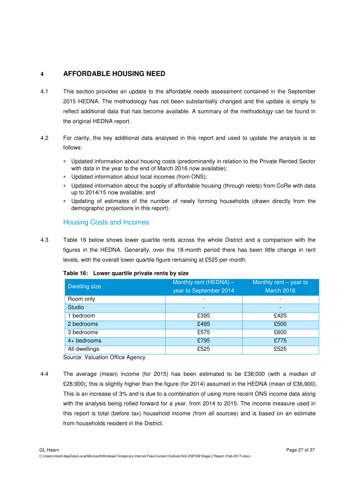## **4 AFFORDABLE HOUSING NEED**

- 4.1 This section provides an update to the affordable needs assessment contained in the September 2015 HEDNA. The methodology has not been substantially changed and the update is simply to reflect additional data that has become available. A summary of the methodology can be found in the original HEDNA report.
- 4.2 For clarity, the key additional data analysed in this report and used to update the analysis is as follows:
	- Updated information about housing costs (predominantly in relation to the Private Rented Sector with data in the year to the end of March 2016 now available);
	- Updated information about local incomes (from ONS);
	- Updated information about the supply of affordable housing (through relets) from CoRe with data up to 2014/15 now available; and
	- Updating of estimates of the number of newly forming households (drawn directly from the demographic projections in this report).

## Housing Costs and Incomes

4.3 Table 16 below shows lower quartile rents across the whole District and a comparison with the figures in the HEDNA. Generally, over the 18-month period there has been little change in rent levels, with the overall lower quartile figure remaining at £525 per month.

| <b>Dwelling size</b> | Monthly rent (HEDNA) -<br>year to September 2014 | Monthly rent - year to<br><b>March 2016</b> |  |
|----------------------|--------------------------------------------------|---------------------------------------------|--|
| Room only            | $\overline{\phantom{0}}$                         | $\overline{\phantom{a}}$                    |  |
| <b>Studio</b>        | ۰                                                | ٠                                           |  |
| bedroom              | £395                                             | £425                                        |  |
| 2 bedrooms           | £495                                             | £500                                        |  |
| 3 bedrooms           | £575                                             | £600                                        |  |
| $4+$ bedrooms        | £795                                             | £775                                        |  |
| All dwellings        | £525                                             | £525                                        |  |

#### **Table 16: Lower quartile private rents by size**

Source: Valuation Office Agency

4.4 The average (mean) income (for 2015) has been estimated to be £38,000 (with a median of £28,900); this is slightly higher than the figure (for 2014) assumed in the HEDNA (mean of £36,900). This is an increase of 3% and is due to a combination of using more recent ONS income data along with the analysis being rolled forward for a year, from 2014 to 2015. The income measure used in this report is total (before tax) household income (from all sources) and is based on an estimate from households resident in the District.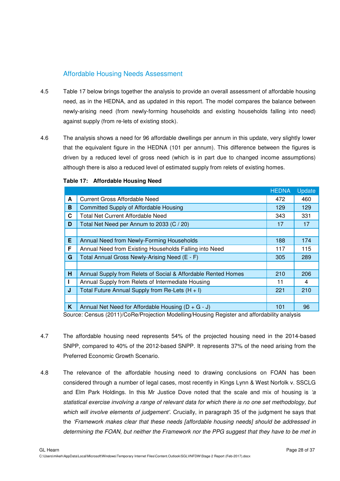## Affordable Housing Needs Assessment

- 4.5 Table 17 below brings together the analysis to provide an overall assessment of affordable housing need, as in the HEDNA, and as updated in this report. The model compares the balance between newly-arising need (from newly-forming households and existing households falling into need) against supply (from re-lets of existing stock).
- 4.6 The analysis shows a need for 96 affordable dwellings per annum in this update, very slightly lower that the equivalent figure in the HEDNA (101 per annum). This difference between the figures is driven by a reduced level of gross need (which is in part due to changed income assumptions) although there is also a reduced level of estimated supply from relets of existing homes.

|   |                                                                                                  | <b>HEDNA</b> | Update |
|---|--------------------------------------------------------------------------------------------------|--------------|--------|
| A | <b>Current Gross Affordable Need</b>                                                             | 472          | 460    |
| B | Committed Supply of Affordable Housing                                                           | 129          | 129    |
| C | <b>Total Net Current Affordable Need</b>                                                         | 343          | 331    |
| D | Total Net Need per Annum to 2033 (C / 20)                                                        | 17           | 17     |
|   |                                                                                                  |              |        |
| Е | Annual Need from Newly-Forming Households                                                        | 188          | 174    |
| F | Annual Need from Existing Households Falling into Need                                           | 117          | 115    |
| G | Total Annual Gross Newly-Arising Need (E - F)                                                    | 305          | 289    |
|   |                                                                                                  |              |        |
| н | Annual Supply from Relets of Social & Affordable Rented Homes                                    | 210          | 206    |
|   | Annual Supply from Relets of Intermediate Housing                                                | 11           | 4      |
| J | Total Future Annual Supply from Re-Lets $(H + I)$                                                | 221          | 210    |
|   |                                                                                                  |              |        |
| K | Annual Net Need for Affordable Housing $(D + G - J)$                                             | 101          | 96     |
|   | Course: Canous (0011) (CaDa (Dusiastian Madelline (Lleusine: Desister and offerdability analysis |              |        |

#### **Table 17: Affordable Housing Need**

Source: Census (2011)/CoRe/Projection Modelling/Housing Register and affordability analysis

- 4.7 The affordable housing need represents 54% of the projected housing need in the 2014-based SNPP, compared to 40% of the 2012-based SNPP. It represents 37% of the need arising from the Preferred Economic Growth Scenario.
- 4.8 The relevance of the affordable housing need to drawing conclusions on FOAN has been considered through a number of legal cases, most recently in Kings Lynn & West Norfolk v. SSCLG and Elm Park Holdings. In this Mr Justice Dove noted that the scale and mix of housing is 'a statistical exercise involving a range of relevant data for which there is no one set methodology, but which will involve elements of judgement'. Crucially, in paragraph 35 of the judgment he says that the 'Framework makes clear that these needs [affordable housing needs] should be addressed in determining the FOAN, but neither the Framework nor the PPG suggest that they have to be met in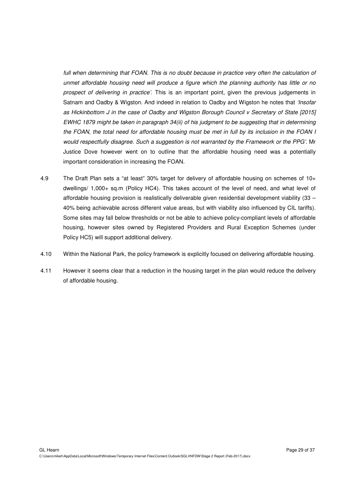full when determining that FOAN. This is no doubt because in practice very often the calculation of unmet affordable housing need will produce a figure which the planning authority has little or no prospect of delivering in practice'. This is an important point, given the previous judgements in Satnam and Oadby & Wigston. And indeed in relation to Oadby and Wigston he notes that 'Insofar as Hickinbottom J in the case of Oadby and Wigston Borough Council v Secretary of State [2015] EWHC 1879 might be taken in paragraph 34(ii) of his judgment to be suggesting that in determining the FOAN, the total need for affordable housing must be met in full by its inclusion in the FOAN I would respectfully disagree. Such a suggestion is not warranted by the Framework or the PPG'. Mr Justice Dove however went on to outline that the affordable housing need was a potentially important consideration in increasing the FOAN.

- 4.9 The Draft Plan sets a "at least" 30% target for delivery of affordable housing on schemes of 10+ dwellings/ 1,000+ sq.m (Policy HC4). This takes account of the level of need, and what level of affordable housing provision is realistically deliverable given residential development viability (33 – 40% being achievable across different value areas, but with viability also influenced by CIL tariffs). Some sites may fall below thresholds or not be able to achieve policy-compliant levels of affordable housing, however sites owned by Registered Providers and Rural Exception Schemes (under Policy HC5) will support additional delivery.
- 4.10 Within the National Park, the policy framework is explicitly focused on delivering affordable housing.
- 4.11 However it seems clear that a reduction in the housing target in the plan would reduce the delivery of affordable housing.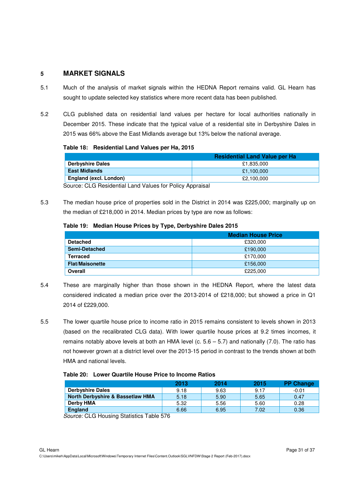## **5 MARKET SIGNALS**

- 5.1 Much of the analysis of market signals within the HEDNA Report remains valid. GL Hearn has sought to update selected key statistics where more recent data has been published.
- 5.2 CLG published data on residential land values per hectare for local authorities nationally in December 2015. These indicate that the typical value of a residential site in Derbyshire Dales in 2015 was 66% above the East Midlands average but 13% below the national average.

#### **Table 18: Residential Land Values per Ha, 2015**

|                         | <b>Residential Land Value per Ha</b> |
|-------------------------|--------------------------------------|
| <b>Derbyshire Dales</b> | £1,835,000                           |
| <b>East Midlands</b>    | £1,100,000                           |
| England (excl. London)  | £2.100.000                           |

Source: CLG Residential Land Values for Policy Appraisal

5.3 The median house price of properties sold in the District in 2014 was £225,000; marginally up on the median of £218,000 in 2014. Median prices by type are now as follows:

#### **Table 19: Median House Prices by Type, Derbyshire Dales 2015**

|                        | <b>Median House Price</b> |
|------------------------|---------------------------|
| <b>Detached</b>        | £320,000                  |
| <b>Semi-Detached</b>   | £190,000                  |
| Terraced               | £170,000                  |
| <b>Flat/Maisonette</b> | £156,000                  |
| Overall                | £225,000                  |

- 5.4 These are marginally higher than those shown in the HEDNA Report, where the latest data considered indicated a median price over the 2013-2014 of £218,000; but showed a price in Q1 2014 of £229,000.
- 5.5 The lower quartile house price to income ratio in 2015 remains consistent to levels shown in 2013 (based on the recalibrated CLG data). With lower quartile house prices at 9.2 times incomes, it remains notably above levels at both an HMA level (c.  $5.6 - 5.7$ ) and nationally (7.0). The ratio has not however grown at a district level over the 2013-15 period in contrast to the trends shown at both HMA and national levels.

#### **Table 20: Lower Quartile House Price to Income Ratios**

|                                  | 2013 | 2014 | 2015 | <b>PP Change</b> |
|----------------------------------|------|------|------|------------------|
| <b>Derbyshire Dales</b>          | 9.18 | 9.63 | 9.17 | $-0.01$          |
| North Derbyshire & Bassetlaw HMA | 5.18 | 5.90 | 5.65 | 0.47             |
| Derby HMA                        | 5.32 | 5.56 | 5.60 | 0.28             |
| <b>England</b>                   | 6.66 | 6.95 | 7.02 | 0.36             |

Source: CLG Housing Statistics Table 576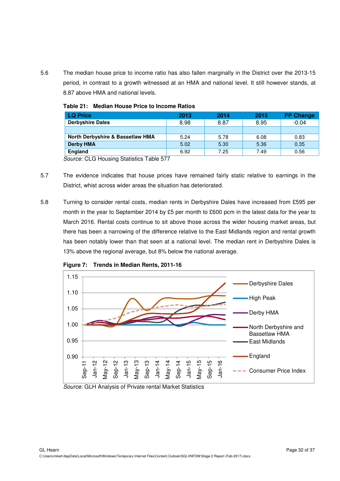5.6 The median house price to income ratio has also fallen marginally in the District over the 2013-15 period, in contrast to a growth witnessed at an HMA and national level. It still however stands, at 8.87 above HMA and national levels.

| <b>LQ Price</b>                        | 2013 | 2014 | 2015 | <b>PP Change</b> |
|----------------------------------------|------|------|------|------------------|
| <b>Derbyshire Dales</b>                | 8.98 | 8.87 | 8.95 | $-0.04$          |
|                                        |      |      |      |                  |
| North Derbyshire & Bassetlaw HMA       | 5.24 | 5.78 | 6.08 | 0.83             |
| <b>Derby HMA</b>                       | 5.02 | 5.30 | 5.36 | 0.35             |
| <b>England</b>                         | 6.92 | 7.25 | 7.49 | 0.56             |
| Cause OLO Hausias Chatiatics Table E77 |      |      |      |                  |

**Table 21: Median House Price to Income Ratios** 

Source: CLG Housing Statistics Table 577

- 5.7 The evidence indicates that house prices have remained fairly static relative to earnings in the District, whist across wider areas the situation has deteriorated.
- 5.8 Turning to consider rental costs, median rents in Derbyshire Dales have increased from £595 per month in the year to September 2014 by £5 per month to £600 pcm in the latest data for the year to March 2016. Rental costs continue to sit above those across the wider housing market areas, but there has been a narrowing of the difference relative to the East Midlands region and rental growth has been notably lower than that seen at a national level. The median rent in Derbyshire Dales is 13% above the regional average, but 8% below the national average.



**Figure 7: Trends in Median Rents, 2011-16** 

Source: GLH Analysis of Private rental Market Statistics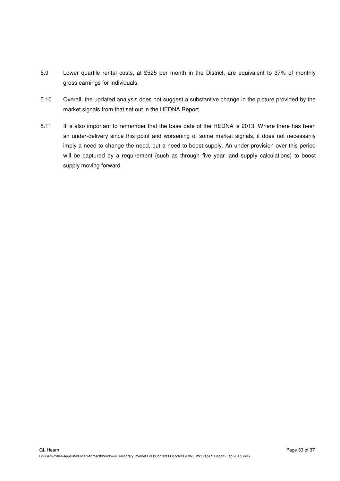- 5.9 Lower quartile rental costs, at £525 per month in the District, are equivalent to 37% of monthly gross earnings for individuals.
- 5.10 Overall, the updated analysis does not suggest a substantive change in the picture provided by the market signals from that set out in the HEDNA Report.
- 5.11 It is also important to remember that the base date of the HEDNA is 2013. Where there has been an under-delivery since this point and worsening of some market signals, it does not necessarily imply a need to change the need, but a need to boost supply. An under-provision over this period will be captured by a requirement (such as through five year land supply calculations) to boost supply moving forward.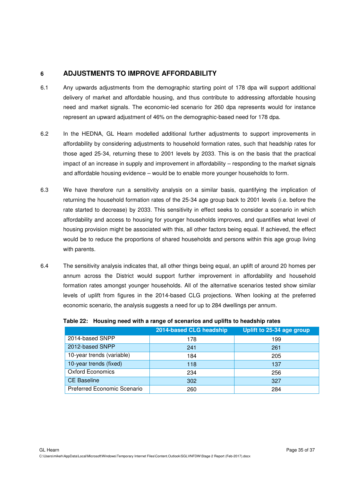## **6 ADJUSTMENTS TO IMPROVE AFFORDABILITY**

- 6.1 Any upwards adjustments from the demographic starting point of 178 dpa will support additional delivery of market and affordable housing, and thus contribute to addressing affordable housing need and market signals. The economic-led scenario for 260 dpa represents would for instance represent an upward adjustment of 46% on the demographic-based need for 178 dpa.
- 6.2 In the HEDNA, GL Hearn modelled additional further adjustments to support improvements in affordability by considering adjustments to household formation rates, such that headship rates for those aged 25-34, returning these to 2001 levels by 2033. This is on the basis that the practical impact of an increase in supply and improvement in affordability – responding to the market signals and affordable housing evidence – would be to enable more younger households to form.
- 6.3 We have therefore run a sensitivity analysis on a similar basis, quantifying the implication of returning the household formation rates of the 25-34 age group back to 2001 levels (i.e. before the rate started to decrease) by 2033. This sensitivity in effect seeks to consider a scenario in which affordability and access to housing for younger households improves, and quantifies what level of housing provision might be associated with this, all other factors being equal. If achieved, the effect would be to reduce the proportions of shared households and persons within this age group living with parents.
- 6.4 The sensitivity analysis indicates that, all other things being equal, an uplift of around 20 homes per annum across the District would support further improvement in affordability and household formation rates amongst younger households. All of the alternative scenarios tested show similar levels of uplift from figures in the 2014-based CLG projections. When looking at the preferred economic scenario, the analysis suggests a need for up to 284 dwellings per annum.

|  | Table 22: Housing need with a range of scenarios and uplifts to headship rates |  |  |  |
|--|--------------------------------------------------------------------------------|--|--|--|
|--|--------------------------------------------------------------------------------|--|--|--|

|                             | 2014-based CLG headship | Uplift to 25-34 age group |
|-----------------------------|-------------------------|---------------------------|
| 2014-based SNPP             | 178                     | 199                       |
| 2012-based SNPP             | 241                     | 261                       |
| 10-year trends (variable)   | 184                     | 205                       |
| 10-year trends (fixed)      | 118                     | 137                       |
| <b>Oxford Economics</b>     | 234                     | 256                       |
| <b>CE Baseline</b>          | 302                     | 327                       |
| Preferred Economic Scenario | 260                     | 284                       |